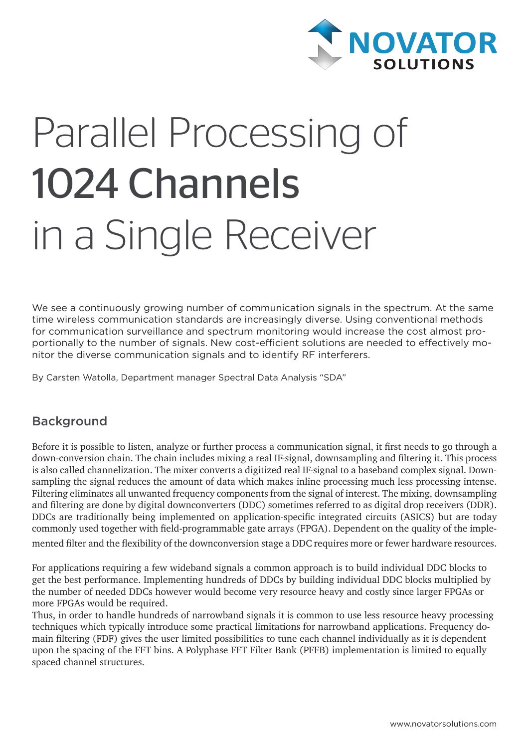

# Parallel Processing of 1024 Channels in a Single Receiver

We see a continuously growing number of communication signals in the spectrum. At the same time wireless communication standards are increasingly diverse. Using conventional methods for communication surveillance and spectrum monitoring would increase the cost almost proportionally to the number of signals. New cost-efficient solutions are needed to effectively monitor the diverse communication signals and to identify RF interferers.

By Carsten Watolla, Department manager Spectral Data Analysis "SDA"

# Background

Before it is possible to listen, analyze or further process a communication signal, it first needs to go through a down-conversion chain. The chain includes mixing a real IF-signal, downsampling and filtering it. This process is also called channelization. The mixer converts a digitized real IF-signal to a baseband complex signal. Downsampling the signal reduces the amount of data which makes inline processing much less processing intense. Filtering eliminates all unwanted frequency components from the signal of interest. The mixing, downsampling and filtering are done by digital downconverters (DDC) sometimes referred to as digital drop receivers (DDR). DDCs are traditionally being implemented on application-specific integrated circuits (ASICS) but are today commonly used together with field-programmable gate arrays (FPGA). Dependent on the quality of the implemented filter and the flexibility of the downconversion stage a DDC requires more or fewer hardware resources.

For applications requiring a few wideband signals a common approach is to build individual DDC blocks to get the best performance. Implementing hundreds of DDCs by building individual DDC blocks multiplied by the number of needed DDCs however would become very resource heavy and costly since larger FPGAs or more FPGAs would be required.

Thus, in order to handle hundreds of narrowband signals it is common to use less resource heavy processing techniques which typically introduce some practical limitations for narrowband applications. Frequency domain filtering (FDF) gives the user limited possibilities to tune each channel individually as it is dependent upon the spacing of the FFT bins. A Polyphase FFT Filter Bank (PFFB) implementation is limited to equally spaced channel structures.